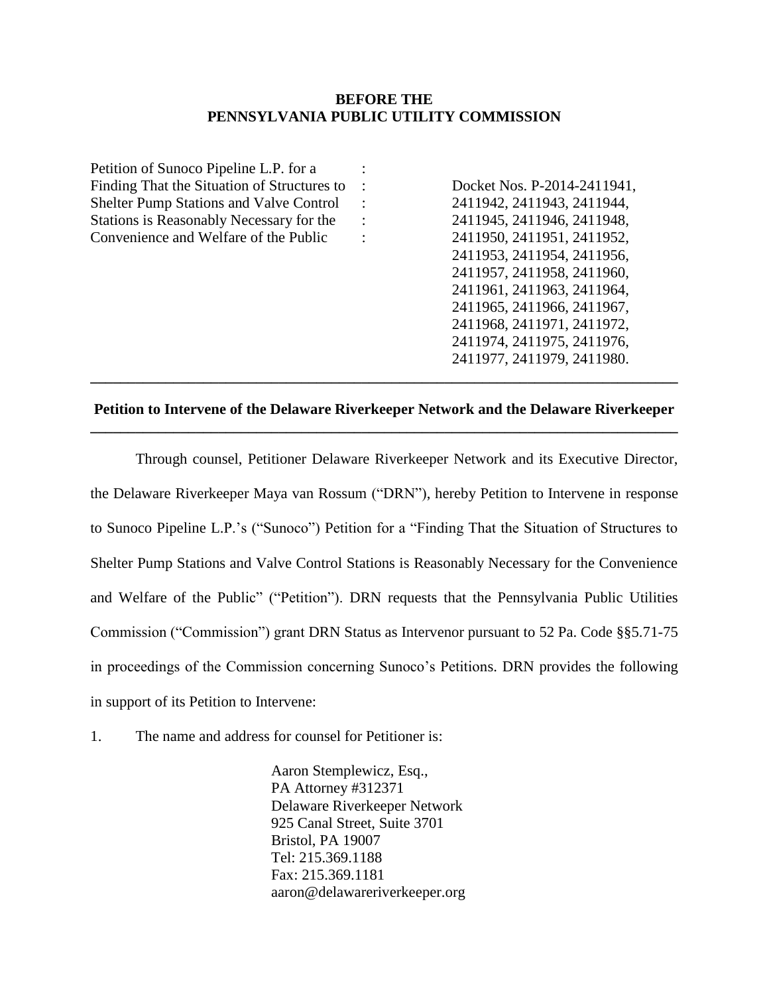## **BEFORE THE PENNSYLVANIA PUBLIC UTILITY COMMISSION**

| Petition of Sunoco Pipeline L.P. for a         |                        |                             |
|------------------------------------------------|------------------------|-----------------------------|
| Finding That the Situation of Structures to    | $\ddot{\phantom{1}}$ : | Docket Nos. P-2014-2411941, |
| <b>Shelter Pump Stations and Valve Control</b> | $\ddot{\phantom{1}}$ : | 2411942, 2411943, 2411944,  |
| Stations is Reasonably Necessary for the       | $\therefore$           | 2411945, 2411946, 2411948,  |
| Convenience and Welfare of the Public          | $\ddot{\phantom{a}}$   | 2411950, 2411951, 2411952,  |
|                                                |                        | 2411953, 2411954, 2411956,  |
|                                                |                        | 2411957, 2411958, 2411960,  |
|                                                |                        | 2411961, 2411963, 2411964,  |
|                                                |                        | 2411965, 2411966, 2411967,  |
|                                                |                        | 2411968, 2411971, 2411972,  |
|                                                |                        | 2411974, 2411975, 2411976,  |
|                                                |                        | 2411977, 2411979, 2411980.  |
|                                                |                        |                             |

# **Petition to Intervene of the Delaware Riverkeeper Network and the Delaware Riverkeeper \_\_\_\_\_\_\_\_\_\_\_\_\_\_\_\_\_\_\_\_\_\_\_\_\_\_\_\_\_\_\_\_\_\_\_\_\_\_\_\_\_\_\_\_\_\_\_\_\_\_\_\_\_\_\_\_\_\_\_\_\_\_\_\_\_\_\_\_\_\_\_\_\_\_\_\_\_\_**

Through counsel, Petitioner Delaware Riverkeeper Network and its Executive Director, the Delaware Riverkeeper Maya van Rossum ("DRN"), hereby Petition to Intervene in response to Sunoco Pipeline L.P.'s ("Sunoco") Petition for a "Finding That the Situation of Structures to Shelter Pump Stations and Valve Control Stations is Reasonably Necessary for the Convenience and Welfare of the Public" ("Petition"). DRN requests that the Pennsylvania Public Utilities Commission ("Commission") grant DRN Status as Intervenor pursuant to 52 Pa. Code §§5.71-75 in proceedings of the Commission concerning Sunoco's Petitions. DRN provides the following in support of its Petition to Intervene:

1. The name and address for counsel for Petitioner is:

Aaron Stemplewicz, Esq., PA Attorney #312371 Delaware Riverkeeper Network 925 Canal Street, Suite 3701 Bristol, PA 19007 Tel: 215.369.1188 Fax: 215.369.1181 [aaron@delawareriverkeeper.org](mailto:aaron@delawareriverkeeper.org)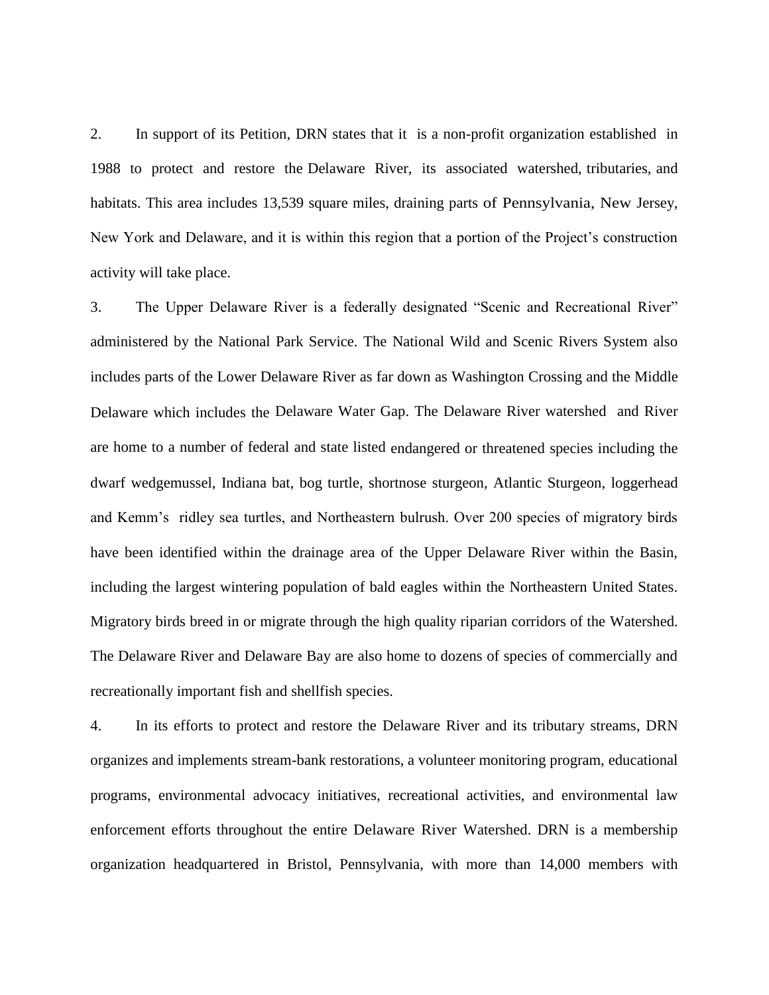2. In support of its Petition, DRN states that it is a non-profit organization established in 1988 to protect and restore the Delaware River, its associated watershed, tributaries, and habitats. This area includes 13,539 square miles, draining parts of Pennsylvania, New Jersey, New York and Delaware, and it is within this region that a portion of the Project's construction activity will take place.

3. The Upper Delaware River is a federally designated "Scenic and Recreational River" administered by the National Park Service. The National Wild and Scenic Rivers System also includes parts of the Lower Delaware River as far down as Washington Crossing and the Middle Delaware which includes the Delaware Water Gap. The Delaware River watershed and River are home to a number of federal and state listed endangered or threatened species including the dwarf wedgemussel, Indiana bat, bog turtle, shortnose sturgeon, Atlantic Sturgeon, loggerhead and Kemm's ridley sea turtles, and Northeastern bulrush. Over 200 species of migratory birds have been identified within the drainage area of the Upper Delaware River within the Basin, including the largest wintering population of bald eagles within the Northeastern United States. Migratory birds breed in or migrate through the high quality riparian corridors of the Watershed. The Delaware River and Delaware Bay are also home to dozens of species of commercially and recreationally important fish and shellfish species.

4. In its efforts to protect and restore the Delaware River and its tributary streams, DRN organizes and implements stream-bank restorations, a volunteer monitoring program, educational programs, environmental advocacy initiatives, recreational activities, and environmental law enforcement efforts throughout the entire Delaware River Watershed. DRN is a membership organization headquartered in Bristol, Pennsylvania, with more than 14,000 members with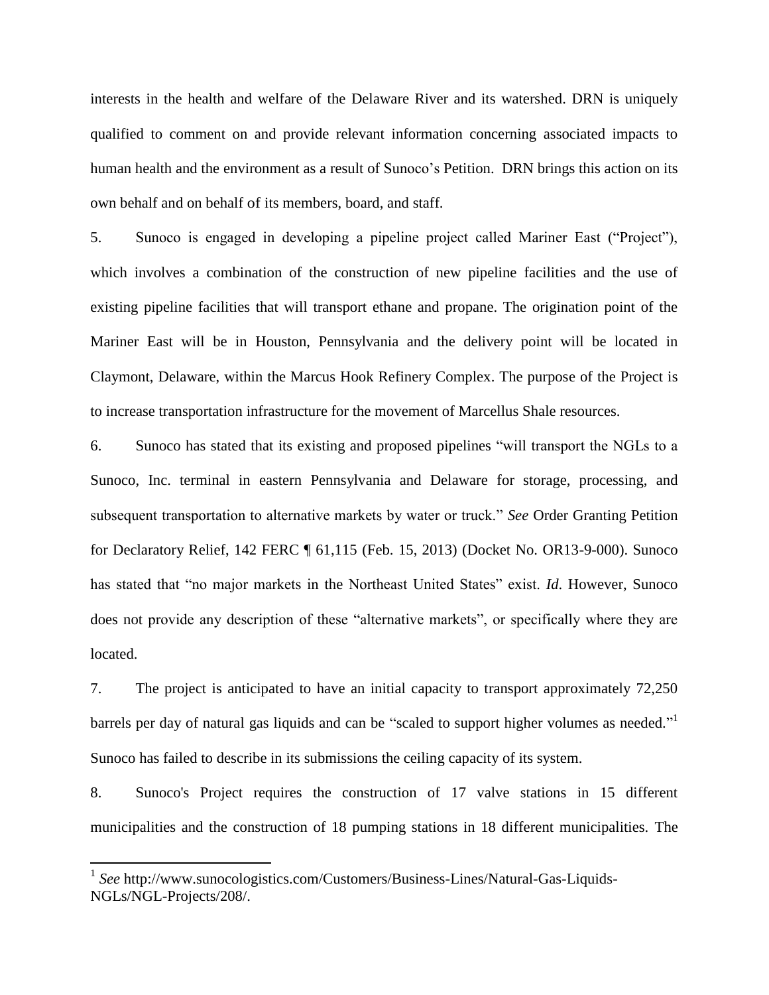interests in the health and welfare of the Delaware River and its watershed. DRN is uniquely qualified to comment on and provide relevant information concerning associated impacts to human health and the environment as a result of Sunoco's Petition. DRN brings this action on its own behalf and on behalf of its members, board, and staff.

5. Sunoco is engaged in developing a pipeline project called Mariner East ("Project"), which involves a combination of the construction of new pipeline facilities and the use of existing pipeline facilities that will transport ethane and propane. The origination point of the Mariner East will be in Houston, Pennsylvania and the delivery point will be located in Claymont, Delaware, within the Marcus Hook Refinery Complex. The purpose of the Project is to increase transportation infrastructure for the movement of Marcellus Shale resources.

6. Sunoco has stated that its existing and proposed pipelines "will transport the NGLs to a Sunoco, Inc. terminal in eastern Pennsylvania and Delaware for storage, processing, and subsequent transportation to alternative markets by water or truck." *See* Order Granting Petition for Declaratory Relief, 142 FERC ¶ 61,115 (Feb. 15, 2013) (Docket No. OR13-9-000). Sunoco has stated that "no major markets in the Northeast United States" exist. *Id*. However, Sunoco does not provide any description of these "alternative markets", or specifically where they are located.

7. The project is anticipated to have an initial capacity to transport approximately 72,250 barrels per day of natural gas liquids and can be "scaled to support higher volumes as needed."<sup>1</sup> Sunoco has failed to describe in its submissions the ceiling capacity of its system.

8. Sunoco's Project requires the construction of 17 valve stations in 15 different municipalities and the construction of 18 pumping stations in 18 different municipalities. The

 1 *See* http://www.sunocologistics.com/Customers/Business-Lines/Natural-Gas-Liquids-NGLs/NGL-Projects/208/.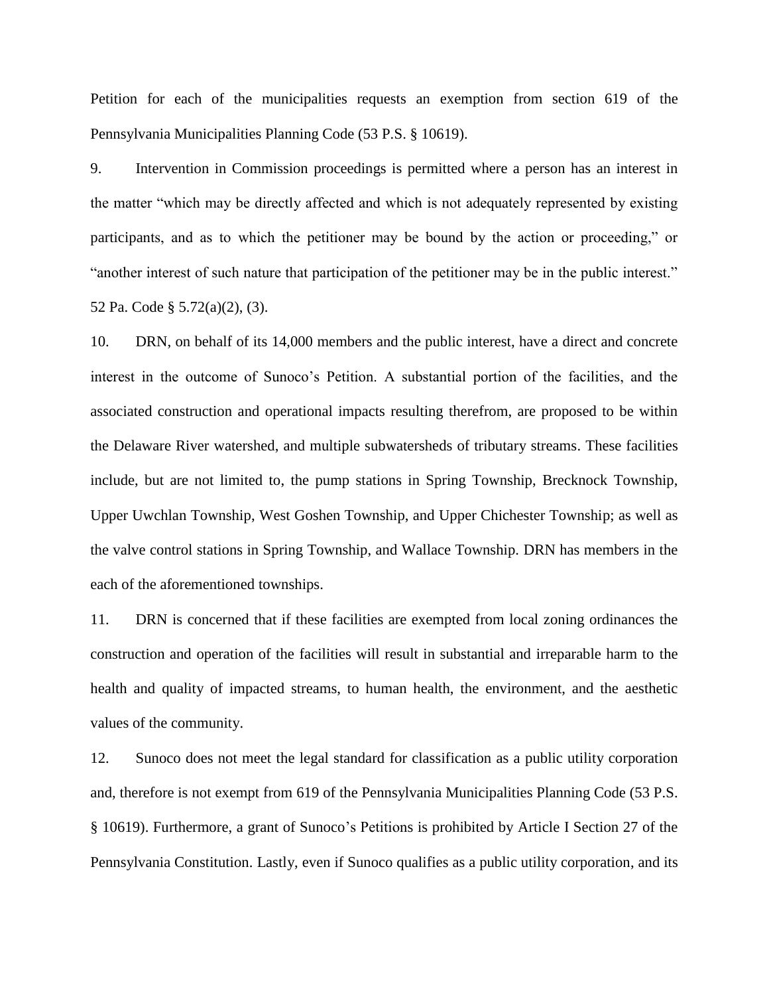Petition for each of the municipalities requests an exemption from section 619 of the Pennsylvania Municipalities Planning Code (53 P.S. § 10619).

9. Intervention in Commission proceedings is permitted where a person has an interest in the matter "which may be directly affected and which is not adequately represented by existing participants, and as to which the petitioner may be bound by the action or proceeding," or "another interest of such nature that participation of the petitioner may be in the public interest." 52 Pa. Code § 5.72(a)(2), (3).

10. DRN, on behalf of its 14,000 members and the public interest, have a direct and concrete interest in the outcome of Sunoco's Petition. A substantial portion of the facilities, and the associated construction and operational impacts resulting therefrom, are proposed to be within the Delaware River watershed, and multiple subwatersheds of tributary streams. These facilities include, but are not limited to, the pump stations in Spring Township, Brecknock Township, Upper Uwchlan Township, West Goshen Township, and Upper Chichester Township; as well as the valve control stations in Spring Township, and Wallace Township. DRN has members in the each of the aforementioned townships.

11. DRN is concerned that if these facilities are exempted from local zoning ordinances the construction and operation of the facilities will result in substantial and irreparable harm to the health and quality of impacted streams, to human health, the environment, and the aesthetic values of the community.

12. Sunoco does not meet the legal standard for classification as a public utility corporation and, therefore is not exempt from 619 of the Pennsylvania Municipalities Planning Code (53 P.S. § 10619). Furthermore, a grant of Sunoco's Petitions is prohibited by Article I Section 27 of the Pennsylvania Constitution. Lastly, even if Sunoco qualifies as a public utility corporation, and its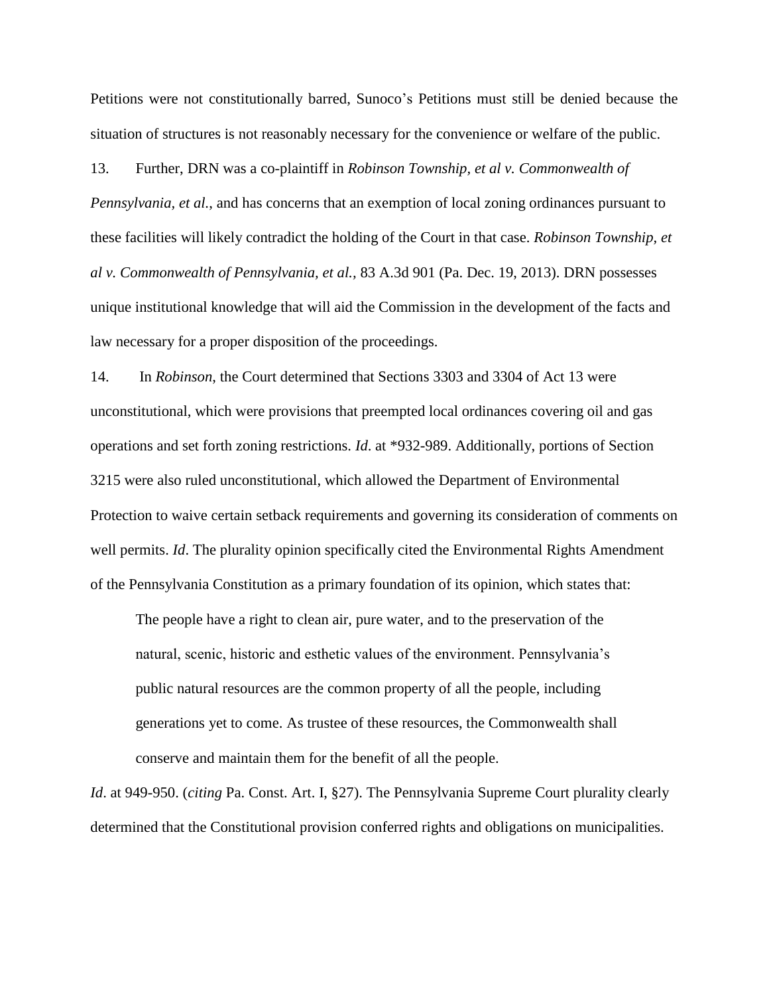Petitions were not constitutionally barred, Sunoco's Petitions must still be denied because the situation of structures is not reasonably necessary for the convenience or welfare of the public.

13. Further, DRN was a co-plaintiff in *Robinson Township, et al v. Commonwealth of* 

*Pennsylvania, et al.*, and has concerns that an exemption of local zoning ordinances pursuant to these facilities will likely contradict the holding of the Court in that case. *Robinson Township, et al v. Commonwealth of Pennsylvania, et al.,* 83 A.3d 901 (Pa. Dec. 19, 2013). DRN possesses unique institutional knowledge that will aid the Commission in the development of the facts and law necessary for a proper disposition of the proceedings.

14. In *Robinson*, the Court determined that Sections 3303 and 3304 of Act 13 were unconstitutional, which were provisions that preempted local ordinances covering oil and gas operations and set forth zoning restrictions. *Id*. at \*932-989. Additionally, portions of Section 3215 were also ruled unconstitutional, which allowed the Department of Environmental Protection to waive certain setback requirements and governing its consideration of comments on well permits. *Id*. The plurality opinion specifically cited the Environmental Rights Amendment of the Pennsylvania Constitution as a primary foundation of its opinion, which states that:

The people have a right to clean air, pure water, and to the preservation of the natural, scenic, historic and esthetic values of the environment. Pennsylvania's public natural resources are the common property of all the people, including generations yet to come. As trustee of these resources, the Commonwealth shall conserve and maintain them for the benefit of all the people.

*Id*. at 949-950. (*citing* Pa. Const. Art. I, §27). The Pennsylvania Supreme Court plurality clearly determined that the Constitutional provision conferred rights and obligations on municipalities.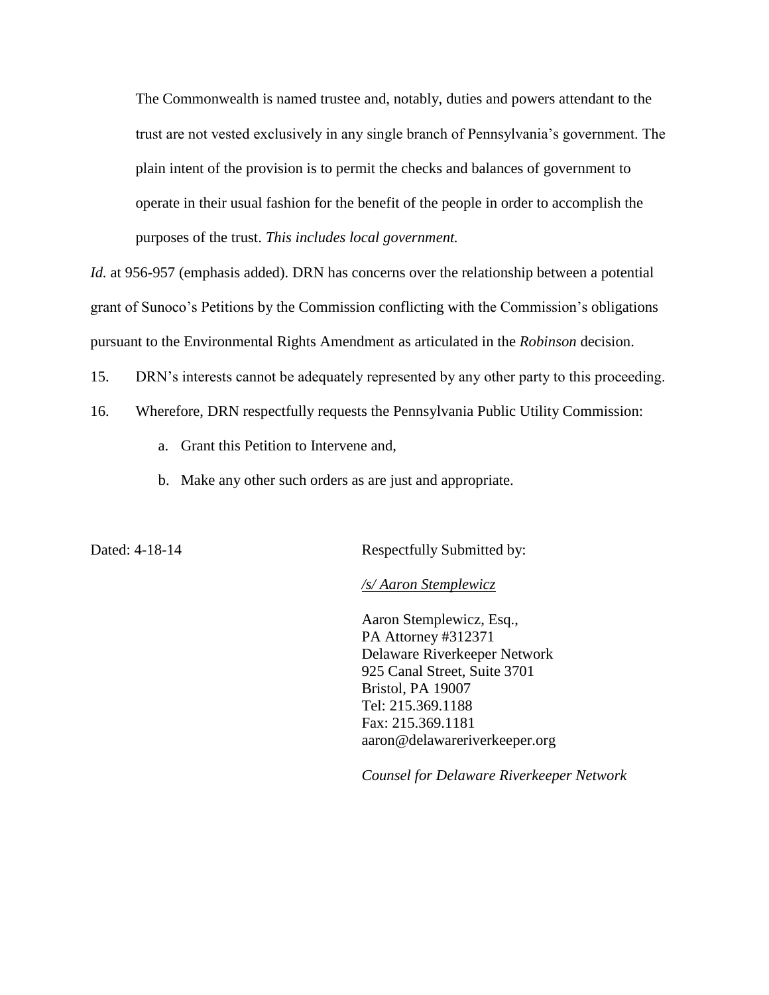The Commonwealth is named trustee and, notably, duties and powers attendant to the trust are not vested exclusively in any single branch of Pennsylvania's government. The plain intent of the provision is to permit the checks and balances of government to operate in their usual fashion for the benefit of the people in order to accomplish the purposes of the trust. *This includes local government.*

*Id.* at 956-957 (emphasis added). DRN has concerns over the relationship between a potential grant of Sunoco's Petitions by the Commission conflicting with the Commission's obligations pursuant to the Environmental Rights Amendment as articulated in the *Robinson* decision.

15. DRN's interests cannot be adequately represented by any other party to this proceeding.

- 16. Wherefore, DRN respectfully requests the Pennsylvania Public Utility Commission:
	- a. Grant this Petition to Intervene and,
	- b. Make any other such orders as are just and appropriate.

Dated: 4-18-14 Respectfully Submitted by:

*/s/ Aaron Stemplewicz*

Aaron Stemplewicz, Esq., PA Attorney #312371 Delaware Riverkeeper Network 925 Canal Street, Suite 3701 Bristol, PA 19007 Tel: 215.369.1188 Fax: 215.369.1181 [aaron@delawareriverkeeper.org](mailto:aaron@delawareriverkeeper.org)

*Counsel for Delaware Riverkeeper Network*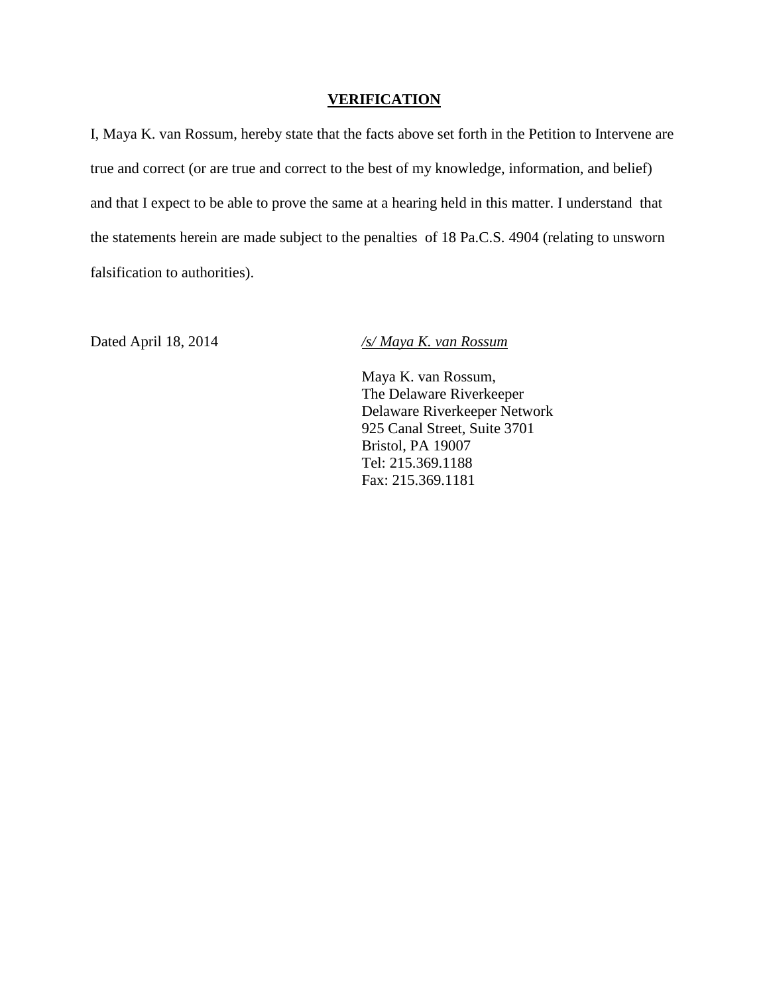## **VERIFICATION**

I, Maya K. van Rossum, hereby state that the facts above set forth in the Petition to Intervene are true and correct (or are true and correct to the best of my knowledge, information, and belief) and that I expect to be able to prove the same at a hearing held in this matter. I understand that the statements herein are made subject to the penalties of 18 Pa.C.S. 4904 (relating to unsworn falsification to authorities).

Dated April 18, 2014 */s/ Maya K. van Rossum*

Maya K. van Rossum, The Delaware Riverkeeper Delaware Riverkeeper Network 925 Canal Street, Suite 3701 Bristol, PA 19007 Tel: 215.369.1188 Fax: 215.369.1181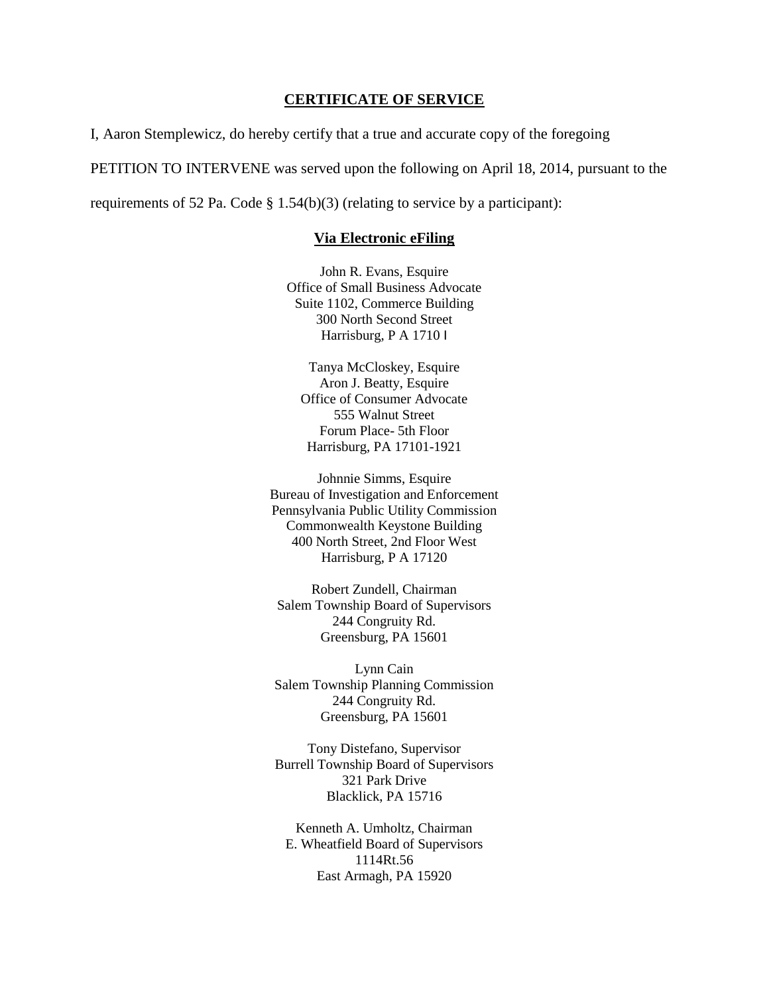## **CERTIFICATE OF SERVICE**

I, Aaron Stemplewicz, do hereby certify that a true and accurate copy of the foregoing

PETITION TO INTERVENE was served upon the following on April 18, 2014, pursuant to the

requirements of 52 Pa. Code  $\S 1.54(b)(3)$  (relating to service by a participant):

### **Via Electronic eFiling**

John R. Evans, Esquire Office of Small Business Advocate Suite 1102, Commerce Building 300 North Second Street Harrisburg, P A 1710 I

Tanya McCloskey, Esquire Aron J. Beatty, Esquire Office of Consumer Advocate 555 Walnut Street Forum Place- 5th Floor Harrisburg, PA 17101-1921

Johnnie Simms, Esquire Bureau of Investigation and Enforcement Pennsylvania Public Utility Commission Commonwealth Keystone Building 400 North Street, 2nd Floor West Harrisburg, P A 17120

Robert Zundell, Chairman Salem Township Board of Supervisors 244 Congruity Rd. Greensburg, PA 15601

Lynn Cain Salem Township Planning Commission 244 Congruity Rd. Greensburg, PA 15601

Tony Distefano, Supervisor Burrell Township Board of Supervisors 321 Park Drive Blacklick, PA 15716

Kenneth A. Umholtz, Chairman E. Wheatfield Board of Supervisors 1114Rt.56 East Armagh, PA 15920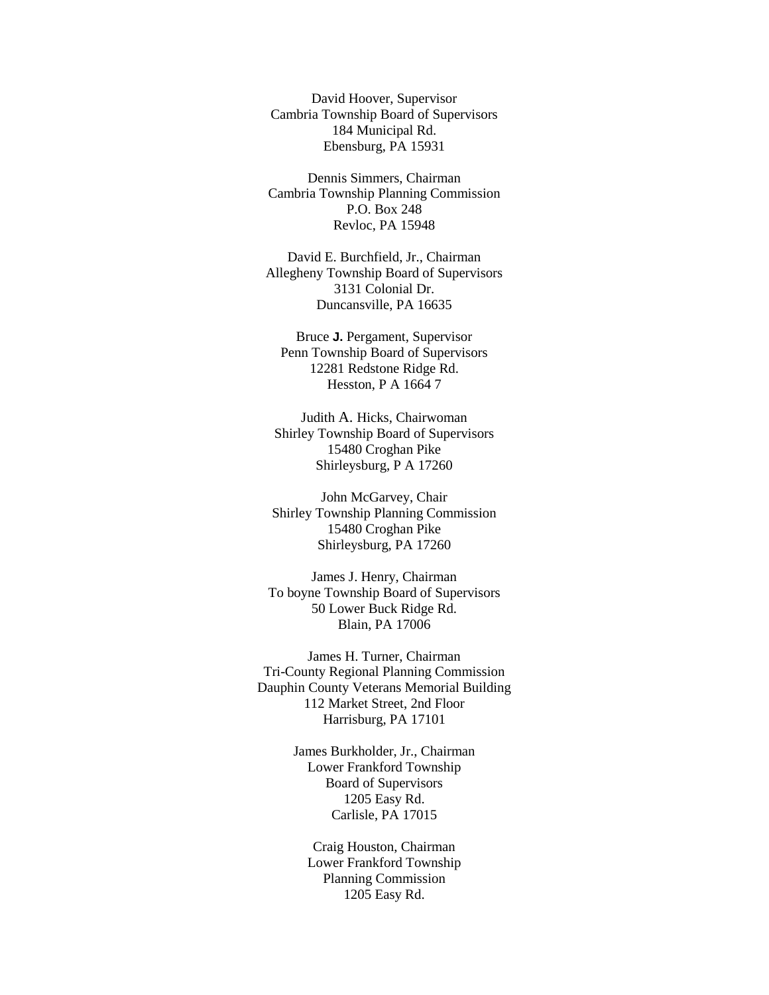David Hoover, Supervisor Cambria Township Board of Supervisors 184 Municipal Rd. Ebensburg, PA 15931

Dennis Simmers, Chairman Cambria Township Planning Commission P.O. Box 248 Revloc, PA 15948

David E. Burchfield, Jr., Chairman Allegheny Township Board of Supervisors 3131 Colonial Dr. Duncansville, PA 16635

Bruce **J.** Pergament, Supervisor Penn Township Board of Supervisors 12281 Redstone Ridge Rd. Hesston, P A 1664 7

Judith A. Hicks, Chairwoman Shirley Township Board of Supervisors 15480 Croghan Pike Shirleysburg, P A 17260

John McGarvey, Chair Shirley Township Planning Commission 15480 Croghan Pike Shirleysburg, PA 17260

James J. Henry, Chairman To boyne Township Board of Supervisors 50 Lower Buck Ridge Rd. Blain, PA 17006

James H. Turner, Chairman Tri-County Regional Planning Commission Dauphin County Veterans Memorial Building 112 Market Street, 2nd Floor Harrisburg, PA 17101

> James Burkholder, Jr., Chairman Lower Frankford Township Board of Supervisors 1205 Easy Rd. Carlisle, PA 17015

Craig Houston, Chairman Lower Frankford Township Planning Commission 1205 Easy Rd.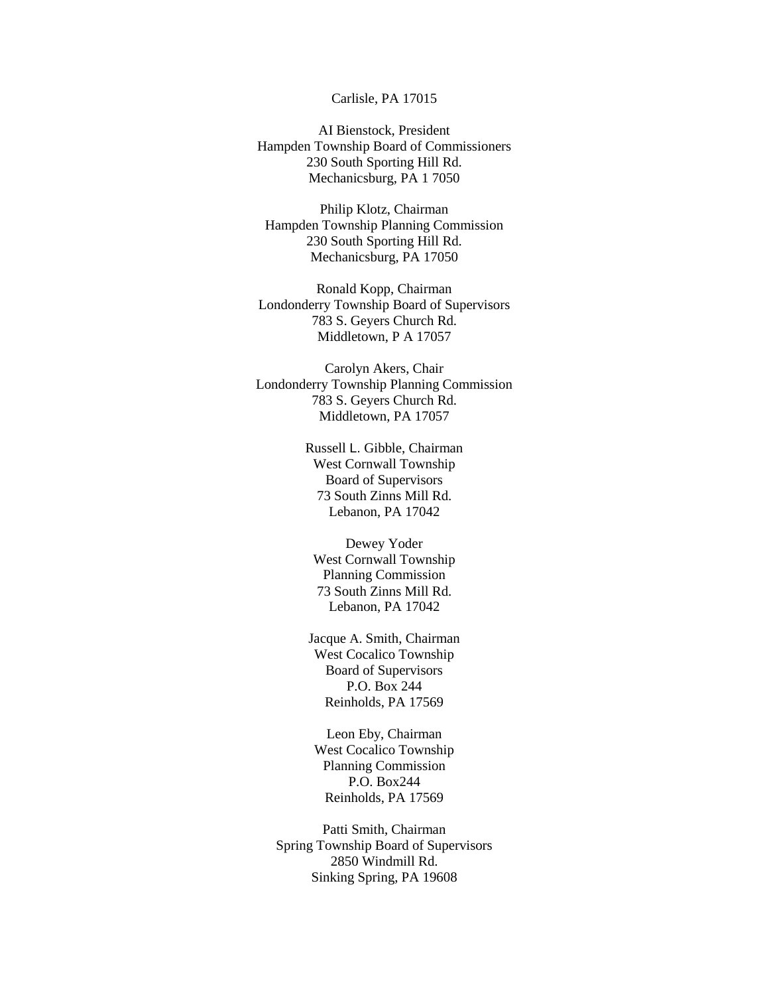### Carlisle, PA 17015

AI Bienstock, President Hampden Township Board of Commissioners 230 South Sporting Hill Rd. Mechanicsburg, PA 1 7050

Philip Klotz, Chairman Hampden Township Planning Commission 230 South Sporting Hill Rd. Mechanicsburg, PA 17050

Ronald Kopp, Chairman Londonderry Township Board of Supervisors 783 S. Geyers Church Rd. Middletown, P A 17057

Carolyn Akers, Chair Londonderry Township Planning Commission 783 S. Geyers Church Rd. Middletown, PA 17057

> Russell L. Gibble, Chairman West Cornwall Township Board of Supervisors 73 South Zinns Mill Rd. Lebanon, PA 17042

Dewey Yoder West Cornwall Township Planning Commission 73 South Zinns Mill Rd. Lebanon, PA 17042

Jacque A. Smith, Chairman West Cocalico Township Board of Supervisors P.O. Box 244 Reinholds, PA 17569

Leon Eby, Chairman West Cocalico Township Planning Commission P.O. Box244 Reinholds, PA 17569

Patti Smith, Chairman Spring Township Board of Supervisors 2850 Windmill Rd. Sinking Spring, PA 19608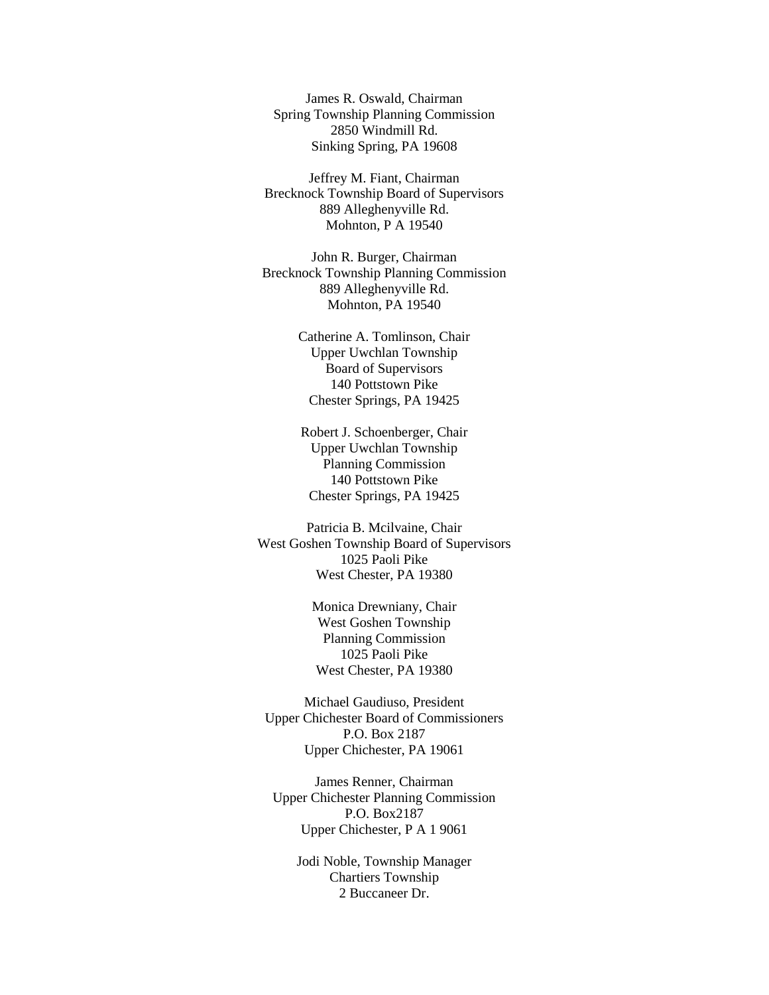James R. Oswald, Chairman Spring Township Planning Commission 2850 Windmill Rd. Sinking Spring, PA 19608

Jeffrey M. Fiant, Chairman Brecknock Township Board of Supervisors 889 Alleghenyville Rd. Mohnton, P A 19540

John R. Burger, Chairman Brecknock Township Planning Commission 889 Alleghenyville Rd. Mohnton, PA 19540

> Catherine A. Tomlinson, Chair Upper Uwchlan Township Board of Supervisors 140 Pottstown Pike Chester Springs, PA 19425

Robert J. Schoenberger, Chair Upper Uwchlan Township Planning Commission 140 Pottstown Pike Chester Springs, PA 19425

Patricia B. Mcilvaine, Chair West Goshen Township Board of Supervisors 1025 Paoli Pike West Chester, PA 19380

> Monica Drewniany, Chair West Goshen Township Planning Commission 1025 Paoli Pike West Chester, PA 19380

Michael Gaudiuso, President Upper Chichester Board of Commissioners P.O. Box 2187 Upper Chichester, PA 19061

James Renner, Chairman Upper Chichester Planning Commission P.O. Box2187 Upper Chichester, P A 1 9061

> Jodi Noble, Township Manager Chartiers Township 2 Buccaneer Dr.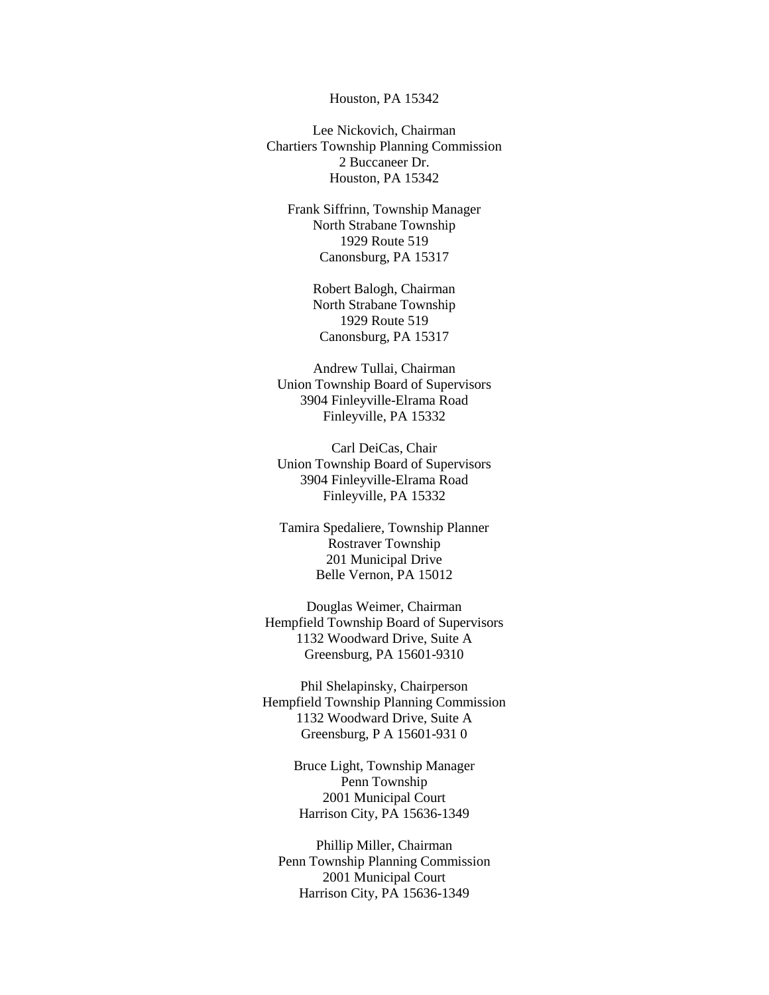#### Houston, PA 15342

Lee Nickovich, Chairman Chartiers Township Planning Commission 2 Buccaneer Dr. Houston, PA 15342

Frank Siffrinn, Township Manager North Strabane Township 1929 Route 519 Canonsburg, PA 15317

> Robert Balogh, Chairman North Strabane Township 1929 Route 519 Canonsburg, PA 15317

Andrew Tullai, Chairman Union Township Board of Supervisors 3904 Finleyville-Elrama Road Finleyville, PA 15332

Carl DeiCas, Chair Union Township Board of Supervisors 3904 Finleyville-Elrama Road Finleyville, PA 15332

Tamira Spedaliere, Township Planner Rostraver Township 201 Municipal Drive Belle Vernon, PA 15012

Douglas Weimer, Chairman Hempfield Township Board of Supervisors 1132 Woodward Drive, Suite A Greensburg, PA 15601-9310

Phil Shelapinsky, Chairperson Hempfield Township Planning Commission 1132 Woodward Drive, Suite A Greensburg, P A 15601-931 0

> Bruce Light, Township Manager Penn Township 2001 Municipal Court Harrison City, PA 15636-1349

Phillip Miller, Chairman Penn Township Planning Commission 2001 Municipal Court Harrison City, PA 15636-1349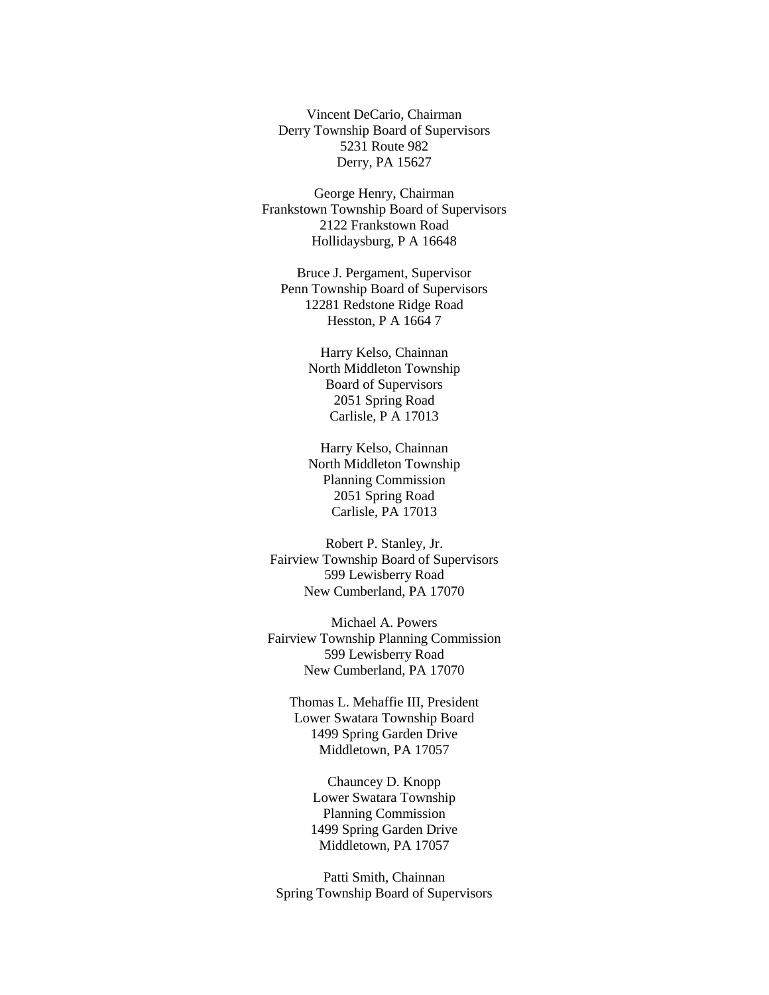Vincent DeCario, Chairman Derry Township Board of Supervisors 5231 Route 982 Derry, PA 15627

George Henry, Chairman Frankstown Township Board of Supervisors 2122 Frankstown Road Hollidaysburg, P A 16648

Bruce J. Pergament, Supervisor Penn Township Board of Supervisors 12281 Redstone Ridge Road Hesston, P A 1664 7

> Harry Kelso, Chainnan North Middleton Township Board of Supervisors 2051 Spring Road Carlisle, P A 17013

> Harry Kelso, Chainnan North Middleton Township Planning Commission 2051 Spring Road Carlisle, PA 17013

Robert P. Stanley, Jr. Fairview Township Board of Supervisors 599 Lewisberry Road New Cumberland, PA 17070

Michael A. Powers Fairview Township Planning Commission 599 Lewisberry Road New Cumberland, PA 17070

Thomas L. Mehaffie III, President Lower Swatara Township Board 1499 Spring Garden Drive Middletown, PA 17057

> Chauncey D. Knopp Lower Swatara Township Planning Commission 1499 Spring Garden Drive Middletown, PA 17057

Patti Smith, Chainnan Spring Township Board of Supervisors